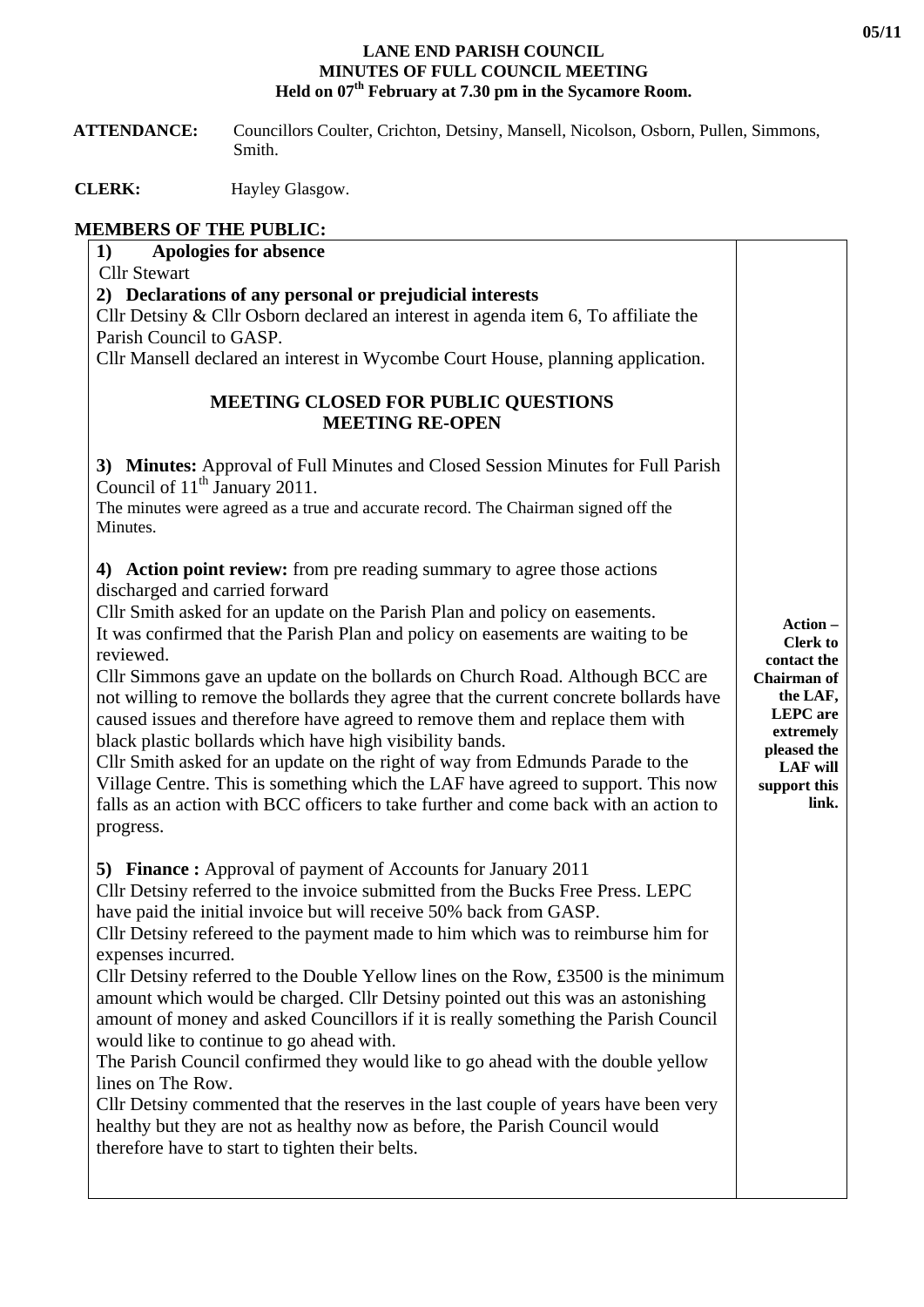## **LANE END PARISH COUNCIL MINUTES OF FULL COUNCIL MEETING Held on 07th February at 7.30 pm in the Sycamore Room.**

 **ATTENDANCE:** Councillors Coulter, Crichton, Detsiny, Mansell, Nicolson, Osborn, Pullen, Simmons, Smith.

**CLERK:** Hayley Glasgow.

## **MEMBERS OF THE PUBLIC:**

| Apologies for absence<br>1)<br><b>Cllr Stewart</b><br>2) Declarations of any personal or prejudicial interests<br>Cllr Detsiny & Cllr Osborn declared an interest in agenda item 6, To affiliate the<br>Parish Council to GASP.<br>Cllr Mansell declared an interest in Wycombe Court House, planning application.<br><b>MEETING CLOSED FOR PUBLIC QUESTIONS</b><br><b>MEETING RE-OPEN</b>                                                                                                                                                                                                                                                                                                                                                                                                                                                                                                                                                                                        |                                                                                                                                                                         |
|-----------------------------------------------------------------------------------------------------------------------------------------------------------------------------------------------------------------------------------------------------------------------------------------------------------------------------------------------------------------------------------------------------------------------------------------------------------------------------------------------------------------------------------------------------------------------------------------------------------------------------------------------------------------------------------------------------------------------------------------------------------------------------------------------------------------------------------------------------------------------------------------------------------------------------------------------------------------------------------|-------------------------------------------------------------------------------------------------------------------------------------------------------------------------|
| 3) Minutes: Approval of Full Minutes and Closed Session Minutes for Full Parish<br>Council of $11th$ January 2011.<br>The minutes were agreed as a true and accurate record. The Chairman signed off the<br>Minutes.                                                                                                                                                                                                                                                                                                                                                                                                                                                                                                                                                                                                                                                                                                                                                              |                                                                                                                                                                         |
| 4) Action point review: from pre reading summary to agree those actions<br>discharged and carried forward<br>Cllr Smith asked for an update on the Parish Plan and policy on easements.<br>It was confirmed that the Parish Plan and policy on easements are waiting to be<br>reviewed.<br>Cllr Simmons gave an update on the bollards on Church Road. Although BCC are<br>not willing to remove the bollards they agree that the current concrete bollards have<br>caused issues and therefore have agreed to remove them and replace them with<br>black plastic bollards which have high visibility bands.<br>Cllr Smith asked for an update on the right of way from Edmunds Parade to the<br>Village Centre. This is something which the LAF have agreed to support. This now<br>falls as an action with BCC officers to take further and come back with an action to<br>progress.                                                                                            | Action -<br><b>Clerk to</b><br>contact the<br><b>Chairman</b> of<br>the LAF,<br><b>LEPC</b> are<br>extremely<br>pleased the<br><b>LAF</b> will<br>support this<br>link. |
| <b>5) Finance:</b> Approval of payment of Accounts for January 2011<br>Cllr Detsiny referred to the invoice submitted from the Bucks Free Press. LEPC<br>have paid the initial invoice but will receive 50% back from GASP.<br>Cllr Detsiny refereed to the payment made to him which was to reimburse him for<br>expenses incurred.<br>Cllr Detsiny referred to the Double Yellow lines on the Row, $£3500$ is the minimum<br>amount which would be charged. Cllr Detsiny pointed out this was an astonishing<br>amount of money and asked Councillors if it is really something the Parish Council<br>would like to continue to go ahead with.<br>The Parish Council confirmed they would like to go ahead with the double yellow<br>lines on The Row.<br>Cllr Detsiny commented that the reserves in the last couple of years have been very<br>healthy but they are not as healthy now as before, the Parish Council would<br>therefore have to start to tighten their belts. |                                                                                                                                                                         |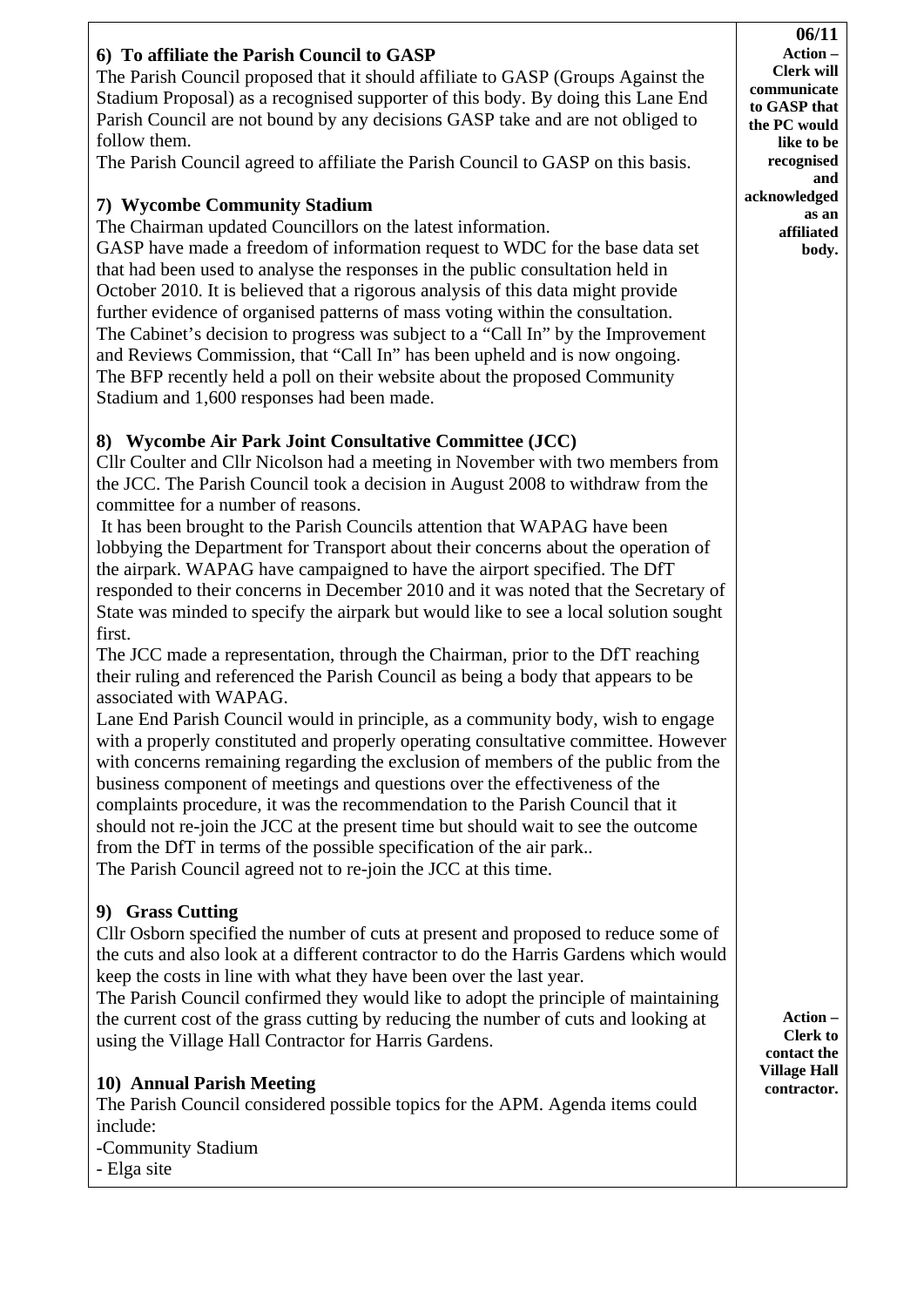## **6) To affiliate the Parish Council to GASP**  The Parish Council proposed that it should affiliate to GASP (Groups Against the Stadium Proposal) as a recognised supporter of this body. By doing this Lane End Parish Council are not bound by any decisions GASP take and are not obliged to follow them. The Parish Council agreed to affiliate the Parish Council to GASP on this basis. **7) Wycombe Community Stadium**  The Chairman updated Councillors on the latest information. GASP have made a freedom of information request to WDC for the base data set that had been used to analyse the responses in the public consultation held in October 2010. It is believed that a rigorous analysis of this data might provide further evidence of organised patterns of mass voting within the consultation. The Cabinet's decision to progress was subject to a "Call In" by the Improvement and Reviews Commission, that "Call In" has been upheld and is now ongoing. The BFP recently held a poll on their website about the proposed Community Stadium and 1,600 responses had been made. **8) Wycombe Air Park Joint Consultative Committee (JCC)**  Cllr Coulter and Cllr Nicolson had a meeting in November with two members from the JCC. The Parish Council took a decision in August 2008 to withdraw from the committee for a number of reasons. It has been brought to the Parish Councils attention that WAPAG have been lobbying the Department for Transport about their concerns about the operation of the airpark. WAPAG have campaigned to have the airport specified. The DfT responded to their concerns in December 2010 and it was noted that the Secretary of State was minded to specify the airpark but would like to see a local solution sought first. The JCC made a representation, through the Chairman, prior to the DfT reaching their ruling and referenced the Parish Council as being a body that appears to be associated with WAPAG. Lane End Parish Council would in principle, as a community body, wish to engage with a properly constituted and properly operating consultative committee. However with concerns remaining regarding the exclusion of members of the public from the business component of meetings and questions over the effectiveness of the complaints procedure, it was the recommendation to the Parish Council that it should not re-join the JCC at the present time but should wait to see the outcome from the DfT in terms of the possible specification of the air park.. The Parish Council agreed not to re-join the JCC at this time. **9) Grass Cutting**  Cllr Osborn specified the number of cuts at present and proposed to reduce some of the cuts and also look at a different contractor to do the Harris Gardens which would keep the costs in line with what they have been over the last year. The Parish Council confirmed they would like to adopt the principle of maintaining the current cost of the grass cutting by reducing the number of cuts and looking at using the Village Hall Contractor for Harris Gardens. **10) Annual Parish Meeting**  The Parish Council considered possible topics for the APM. Agenda items could include: -Community Stadium - Elga site **06/11 Action – Clerk will communicate to GASP that the PC would like to be recognised and acknowledged as an affiliated body. Action – Clerk to contact the Village Hall contractor.**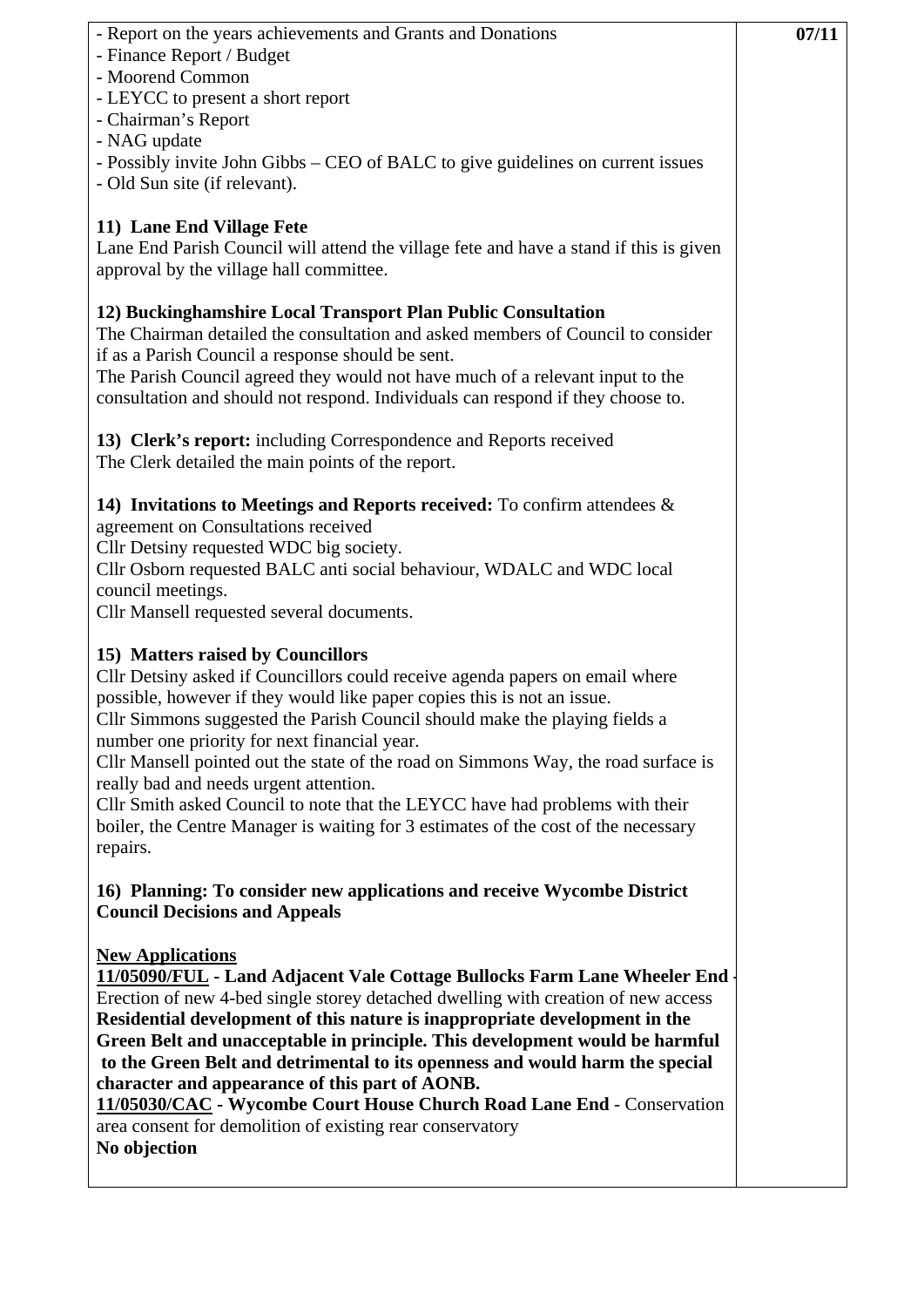| - Report on the years achievements and Grants and Donations<br>- Finance Report / Budget<br>- Moorend Common<br>- LEYCC to present a short report<br>- Chairman's Report<br>- NAG update<br>- Possibly invite John Gibbs – CEO of BALC to give guidelines on current issues<br>- Old Sun site (if relevant).                                                                                                                                                                                                                                                                                                                                   | 07/11 |
|------------------------------------------------------------------------------------------------------------------------------------------------------------------------------------------------------------------------------------------------------------------------------------------------------------------------------------------------------------------------------------------------------------------------------------------------------------------------------------------------------------------------------------------------------------------------------------------------------------------------------------------------|-------|
| 11) Lane End Village Fete<br>Lane End Parish Council will attend the village fete and have a stand if this is given<br>approval by the village hall committee.                                                                                                                                                                                                                                                                                                                                                                                                                                                                                 |       |
| 12) Buckinghamshire Local Transport Plan Public Consultation<br>The Chairman detailed the consultation and asked members of Council to consider<br>if as a Parish Council a response should be sent.<br>The Parish Council agreed they would not have much of a relevant input to the<br>consultation and should not respond. Individuals can respond if they choose to.                                                                                                                                                                                                                                                                       |       |
| 13) Clerk's report: including Correspondence and Reports received<br>The Clerk detailed the main points of the report.                                                                                                                                                                                                                                                                                                                                                                                                                                                                                                                         |       |
| 14) Invitations to Meetings and Reports received: To confirm attendees $\&$<br>agreement on Consultations received<br>Cllr Detsiny requested WDC big society.<br>Cllr Osborn requested BALC anti social behaviour, WDALC and WDC local<br>council meetings.<br>Cllr Mansell requested several documents.                                                                                                                                                                                                                                                                                                                                       |       |
| 15) Matters raised by Councillors<br>Cllr Detsiny asked if Councillors could receive agenda papers on email where<br>possible, however if they would like paper copies this is not an issue.<br>Cllr Simmons suggested the Parish Council should make the playing fields a<br>number one priority for next financial year.<br>Cllr Mansell pointed out the state of the road on Simmons Way, the road surface is<br>really bad and needs urgent attention.<br>Cllr Smith asked Council to note that the LEYCC have had problems with their<br>boiler, the Centre Manager is waiting for 3 estimates of the cost of the necessary<br>repairs.   |       |
| 16) Planning: To consider new applications and receive Wycombe District<br><b>Council Decisions and Appeals</b>                                                                                                                                                                                                                                                                                                                                                                                                                                                                                                                                |       |
| <b>New Applications</b><br>11/05090/FUL - Land Adjacent Vale Cottage Bullocks Farm Lane Wheeler End<br>Erection of new 4-bed single storey detached dwelling with creation of new access<br>Residential development of this nature is inappropriate development in the<br>Green Belt and unacceptable in principle. This development would be harmful<br>to the Green Belt and detrimental to its openness and would harm the special<br>character and appearance of this part of AONB.<br>11/05030/CAC - Wycombe Court House Church Road Lane End - Conservation<br>area consent for demolition of existing rear conservatory<br>No objection |       |